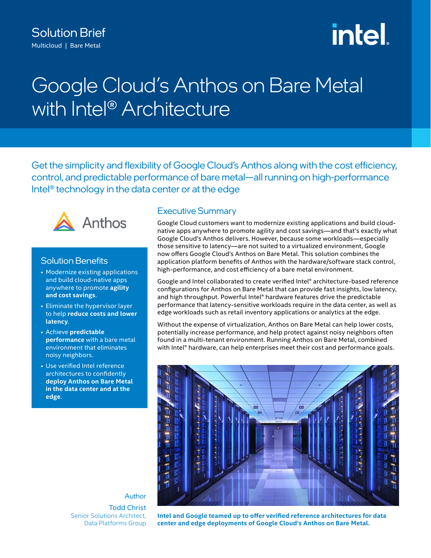# Solution Brief Multicloud | Bare Metal

# **intel**

# Google Cloud's Anthos on Bare Metal with Intel<sup>®</sup> Architecture

Get the simplicity and flexibility of Google Cloud's Anthos along with the cost efficiency, control, and predictable performance of bare metal—all running on high-performance Intel® technology in the data center or at the edge



# Solution Benefits

- Modernize existing applications and build cloud-native apps anywhere to promote **agility and cost savings**.
- Eliminate the hypervisor layer to help **reduce costs and lower latency**.
- Achieve **predictable performance** with a bare metal environment that eliminates noisy neighbors.
- Use verified Intel reference architectures to confidently **deploy Anthos on Bare Metal in the data center and at the edge**.

# Executive Summary

Google Cloud customers want to modernize existing applications and build cloudnative apps anywhere to promote agility and cost savings—and that's exactly what Google Cloud's Anthos delivers. However, because some workloads—especially those sensitive to latency—are not suited to a virtualized environment, Google now offers Google Cloud's Anthos on Bare Metal. This solution combines the application platform benefits of Anthos with the hardware/software stack control, high-performance, and cost efficiency of a bare metal environment.

Google and Intel collaborated to create verified Intel® architecture-based reference configurations for Anthos on Bare Metal that can provide fast insights, low latency, and high throughput. Powerful Intel® hardware features drive the predictable performance that latency-sensitive workloads require in the data center, as well as edge workloads such as retail inventory applications or analytics at the edge.

Without the expense of virtualization, Anthos on Bare Metal can help lower costs, potentially increase performance, and help protect against noisy neighbors often found in a multi-tenant environment. Running Anthos on Bare Metal, combined with Intel® hardware, can help enterprises meet their cost and performance goals.



Author Todd Christ Senior Solutions Architect, Data Platforms Group

**Intel and Google teamed up to offer verified reference architectures for data center and edge deployments of Google Cloud's Anthos on Bare Metal.**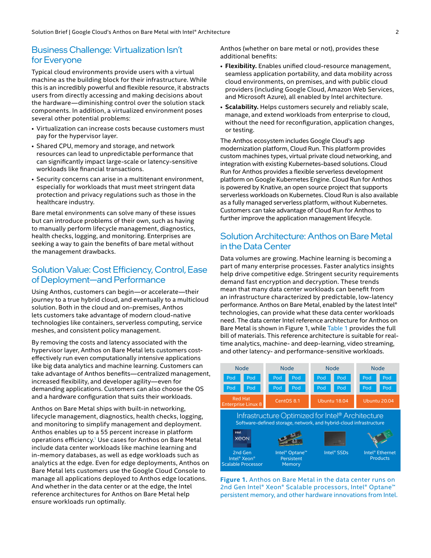## Business Challenge: Virtualization Isn't for Everyone

Typical cloud environments provide users with a virtual machine as the building block for their infrastructure. While this is an incredibly powerful and flexible resource, it abstracts users from directly accessing and making decisions about the hardware—diminishing control over the solution stack components. In addition, a virtualized environment poses several other potential problems:

- Virtualization can increase costs because customers must pay for the hypervisor layer.
- Shared CPU, memory and storage, and network resources can lead to unpredictable performance that can significantly impact large-scale or latency-sensitive workloads like financial transactions.
- Security concerns can arise in a multitenant environment, especially for workloads that must meet stringent data protection and privacy regulations such as those in the healthcare industry.

Bare metal environments can solve many of these issues but can introduce problems of their own, such as having to manually perform lifecycle management, diagnostics, health checks, logging, and monitoring. Enterprises are seeking a way to gain the benefits of bare metal without the management drawbacks.

# Solution Value: Cost Efficiency, Control, Ease of Deployment—and Performance

Using Anthos, customers can begin—or accelerate—their journey to a true hybrid cloud, and eventually to a multicloud solution. Both in the cloud and on-premises, Anthos lets customers take advantage of modern cloud-native technologies like containers, serverless computing, service meshes, and consistent policy management.

By removing the costs and latency associated with the hypervisor layer, Anthos on Bare Metal lets customers costeffectively run even computationally intensive applications like big data analytics and machine learning. Customers can take advantage of Anthos benefits—centralized management, increased flexibility, and developer agility—even for demanding applications. Customers can also choose the OS and a hardware configuration that suits their workloads.

Anthos on Bare Metal ships with built-in networking, lifecycle management, diagnostics, health checks, logging, and monitoring to simplify management and deployment. Anthos enables up to a 55 percent increase in platform operations efficiency.[1](#page-4-0) Use cases for Anthos on Bare Metal include data center workloads like machine learning and in-memory databases, as well as edge workloads such as analytics at the edge. Even for edge deployments, Anthos on Bare Metal lets customers use the Google Cloud Console to manage all applications deployed to Anthos edge locations. And whether in the data center or at the edge, the Intel reference architectures for Anthos on Bare Metal help ensure workloads run optimally.

Anthos (whether on bare metal or not), provides these additional benefits:

- **Flexibility.** Enables unified cloud-resource management, seamless application portability, and data mobility across cloud environments, on premises, and with public cloud providers (including Google Cloud, Amazon Web Services, and Microsoft Azure), all enabled by Intel architecture.
- **Scalability.** Helps customers securely and reliably scale, manage, and extend workloads from enterprise to cloud, without the need for reconfiguration, application changes, or testing.

The Anthos ecosystem includes Google Cloud's app modernization platform, Cloud Run. This platform provides custom machines types, virtual private cloud networking, and integration with existing Kubernetes‐based solutions. Cloud Run for Anthos provides a flexible serverless development platform on Google Kubernetes Engine. Cloud Run for Anthos is powered by Knative, an open source project that supports serverless workloads on Kubernetes. Cloud Run is also available as a fully managed serverless platform, without Kubernetes. Customers can take advantage of Cloud Run for Anthos to further improve the application management lifecycle.

# Solution Architecture: Anthos on Bare Metal in the Data Center

Data volumes are growing. Machine learning is becoming a part of many enterprise processes. Faster analytics insights help drive competitive edge. Stringent security requirements demand fast encryption and decryption. These trends mean that many data center workloads can benefit from an infrastructure characterized by predictable, low-latency performance. Anthos on Bare Metal, enabled by the latest Intel® technologies, can provide what these data center workloads need. The data center Intel reference architecture for Anthos on Bare Metal is shown in Figure 1, while [Table 1](#page-3-0) provides the full bill of materials. This reference architecture is suitable for realtime analytics, machine- and deep-learning, video streaming, and other latency- and performance-sensitive workloads.



**Figure 1.** Anthos on Bare Metal in the data center runs on 2nd Gen Intel® Xeon® Scalable processors, Intel® Optane™ persistent memory, and other hardware innovations from Intel.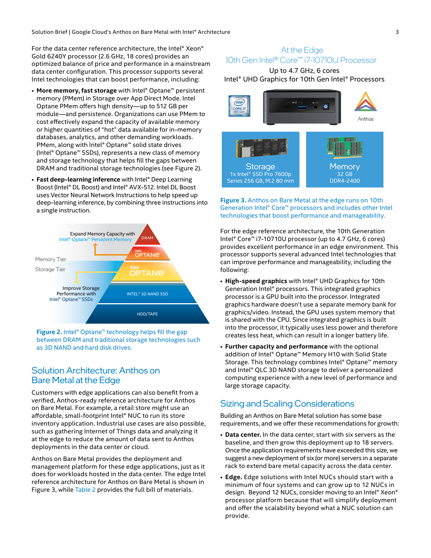Solution Brief | Google Cloud's Anthos on Bare Metal with Intel® Architecture 3 3

For the data center reference architecture, the Intel® Xeon® Gold 6240Y processor (2.6 GHz, 18 cores) provides an optimized balance of price and performance in a mainstream data center configuration. This processor supports several Intel technologies that can boost performance, including:

- **More memory, fast storage** with Intel® Optane™ persistent memory (PMem) in Storage over App Direct Mode. Intel Optane PMem offers high density—up to 512 GB per module—and persistence. Organizations can use PMem to cost effectively expand the capacity of available memory or higher quantities of "hot" data available for in-memory databases, analytics, and other demanding workloads. PMem, along with Intel® Optane™ solid state drives (Intel® Optane™ SSDs), represents a new class of memory and storage technology that helps fill the gaps between DRAM and traditional storage technologies (see Figure 2).
- **Fast deep-learning inference** with Intel® Deep Learning Boost (Intel® DL Boost) and Intel® AVX-512. Intel DL Boost uses Vector Neural Network Instructions to help speed up deep-learning inference, by combining three instructions into a single instruction.



**Figure 2.** Intel® Optane™ technology helps fill the gap between DRAM and traditional storage technologies such as 3D NAND and hard disk drives.

# Solution Architecture: Anthos on Bare Metal at the Edge

Customers with edge applications can also benefit from a verified, Anthos-ready reference architecture for Anthos on Bare Metal. For example, a retail store might use an affordable, small-footprint Intel® NUC to run its store inventory application. Industrial use cases are also possible, such as gathering Internet of Things data and analyzing it at the edge to reduce the amount of data sent to Anthos deployments in the data center or cloud.

Anthos on Bare Metal provides the deployment and management platform for these edge applications, just as it does for workloads hosted in the data center. The edge Intel reference architecture for Anthos on Bare Metal is shown in Figure 3, while [Table 2](#page-3-1) provides the full bill of materials.

# At the Edge 10th Gen Intel® Core™ i7-10710U Processor

#### Up to 4.7 GHz, 6 cores Intel® UHD Graphics for 10th Gen Intel® Processors



**Figure 3.** Anthos on Bare Metal at the edge runs on 10th Generation Intel® Core™ processors and includes other Intel technologies that boost performance and manageability.

For the edge reference architecture, the 10th Generation Intel® Core™ i7-10710U processor (up to 4.7 GHz, 6 cores) provides excellent performance in an edge environment. This processor supports several advanced Intel technologies that can improve performance and manageability, including the following:

- **High-speed graphics** with Intel® UHD Graphics for 10th Generation Intel® processors. This integrated graphics processor is a GPU built into the processor. Integrated graphics hardware doesn't use a separate memory bank for graphics/video. Instead, the GPU uses system memory that is shared with the CPU. Since integrated graphics is built into the processor, it typically uses less power and therefore creates less heat, which can result in a longer battery life.
- **Further capacity and performance** with the optional addition of Intel® Optane™ Memory H10 with Solid State Storage. This technology combines Intel® Optane™ memory and Intel® QLC 3D NAND storage to deliver a personalized computing experience with a new level of performance and large storage capacity.

# Sizing and Scaling Considerations

Building an Anthos on Bare Metal solution has some base requirements, and we offer these recommendations for growth:

- **Data center.** In the data center, start with six servers as the baseline, and then grow this deployment up to 18 servers. Once the application requirements have exceeded this size, we suggest a new deployment of six (or more) servers in a separate rack to extend bare metal capacity across the data center.
- **Edge.** Edge solutions with Intel NUCs should start with a minimum of four systems and can grow up to 12 NUCs in design. Beyond 12 NUCs, consider moving to an Intel® Xeon® processor platform because that will simplify deployment and offer the scalability beyond what a NUC solution can provide.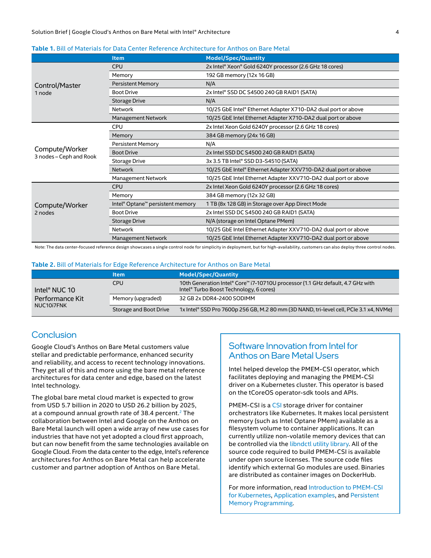#### Solution Brief | Google Cloud's Anthos on Bare Metal with Intel® Architecture 4

#### <span id="page-3-0"></span>**Table 1.** Bill of Materials for Data Center Reference Architecture for Anthos on Bare Metal

|                                           | <b>Item</b>                                              | <b>Model/Spec/Quantity</b>                                      |
|-------------------------------------------|----------------------------------------------------------|-----------------------------------------------------------------|
| Control/Master<br>1 node                  | <b>CPU</b>                                               | 2x Intel® Xeon® Gold 6240Y processor (2.6 GHz 18 cores)         |
|                                           | Memory                                                   | 192 GB memory (12x 16 GB)                                       |
|                                           | <b>Persistent Memory</b>                                 | N/A                                                             |
|                                           | <b>Boot Drive</b>                                        | 2x Intel® SSD DC S4500 240 GB RAID1 (SATA)                      |
|                                           | <b>Storage Drive</b>                                     | N/A                                                             |
|                                           | Network                                                  | 10/25 GbE Intel® Ethernet Adapter X710-DA2 dual port or above   |
|                                           | <b>Management Network</b>                                | 10/25 GbE Intel Ethernet Adapter X710-DA2 dual port or above    |
| Compute/Worker<br>3 nodes - Ceph and Rook | <b>CPU</b>                                               | 2x Intel Xeon Gold 6240Y processor (2.6 GHz 18 cores)           |
|                                           | Memory                                                   | 384 GB memory (24x 16 GB)                                       |
|                                           | <b>Persistent Memory</b>                                 | N/A                                                             |
|                                           | <b>Boot Drive</b>                                        | 2x Intel SSD DC S4500 240 GB RAID1 (SATA)                       |
|                                           | <b>Storage Drive</b>                                     | 3x 3.5 TB Intel® SSD D3-S4510 (SATA)                            |
|                                           | <b>Network</b>                                           | 10/25 GbE Intel® Ethernet Adapter XXV710-DA2 dual port or above |
|                                           | Management Network                                       | 10/25 GbE Intel Ethernet Adapter XXV710-DA2 dual port or above  |
| Compute/Worker<br>2 nodes                 | <b>CPU</b>                                               | 2x Intel Xeon Gold 6240Y processor (2.6 GHz 18 cores)           |
|                                           | Memory                                                   | 384 GB memory (12x 32 GB)                                       |
|                                           | Intel <sup>®</sup> Optane <sup>™</sup> persistent memory | 1 TB (8x 128 GB) in Storage over App Direct Mode                |
|                                           | <b>Boot Drive</b>                                        | 2x Intel SSD DC S4500 240 GB RAID1 (SATA)                       |
|                                           | <b>Storage Drive</b>                                     | N/A (storage on Intel Optane PMem)                              |
|                                           | <b>Network</b>                                           | 10/25 GbE Intel Ethernet Adapter XXV710-DA2 dual port or above  |
|                                           | <b>Management Network</b>                                | 10/25 GbE Intel Ethernet Adapter XXV710-DA2 dual port or above  |

Note: The data center-focused reference design showcases a single control node for simplicity in deployment, but for high-availability, customers can also deploy three control nodes.

#### <span id="page-3-1"></span>**Table 2.** Bill of Materials for Edge Reference Architecture for Anthos on Bare Metal

|                                                            | ltem                   | <b>Model/Spec/Quantity</b>                                                                                                 |
|------------------------------------------------------------|------------------------|----------------------------------------------------------------------------------------------------------------------------|
| Intel <sup>®</sup> NUC 10<br>Performance Kit<br>NUC10i7FNK | CPU                    | 10th Generation Intel® Core™ i7-10710U processor (1.1 GHz default, 4.7 GHz with<br>Intel® Turbo Boost Technology, 6 cores) |
|                                                            | Memory (upgraded)      | 32 GB 2x DDR4-2400 SODIMM                                                                                                  |
|                                                            | Storage and Boot Drive | 1x Intel® SSD Pro 7600p 256 GB, M.2 80 mm (3D NAND, tri-level cell, PCIe 3.1 x4, NVMe)                                     |

# Conclusion

Google Cloud's Anthos on Bare Metal customers value stellar and predictable performance, enhanced security and reliability, and access to recent technology innovations. They get all of this and more using the bare metal reference architectures for data center and edge, based on the latest Intel technology.

The global bare metal cloud market is expected to grow from USD 5.7 billion in 2020 to USD 26.2 billion by 2025, at a compound annual growth rate of 38.4 percent.<sup>[2](#page-4-1)</sup> The collaboration between Intel and Google on the Anthos on Bare Metal launch will open a wide array of new use cases for industries that have not yet adopted a cloud first approach, but can now benefit from the same technologies available on Google Cloud. From the data center to the edge, Intel's reference architectures for Anthos on Bare Metal can help accelerate customer and partner adoption of Anthos on Bare Metal.

# Software Innovation from Intel for Anthos on Bare Metal Users

Intel helped develop the PMEM-CSI operator, which facilitates deploying and managing the PMEM-CSI driver on a Kubernetes cluster. This operator is based on the tCoreOS operator-sdk tools and APIs.

PMEM-CSI is a [CSI](https://github.com/container-storage-interface/spec) storage driver for container orchestrators like Kubernetes. It makes local persistent memory (such as Intel Optane PMem) available as a filesystem volume to container applications. It can currently utilize non-volatile memory devices that can be controlled via the [libndctl utility library.](https://github.com/pmem/ndctl) All of the source code required to build PMEM-CSI is available under open source licenses. The source code files identify which external Go modules are used. Binaries are distributed as container images on DockerHub.

For more information, read [Introduction to PMEM-CSI](https://intel.github.io/pmem-csi/latest/README.html)  [for Kubernetes](https://intel.github.io/pmem-csi/latest/README.html), [Application examples](https://intel.github.io/pmem-csi/latest/examples/readme.html), and [Persistent](https://pmem.io/)  [Memory Programming](https://pmem.io/).